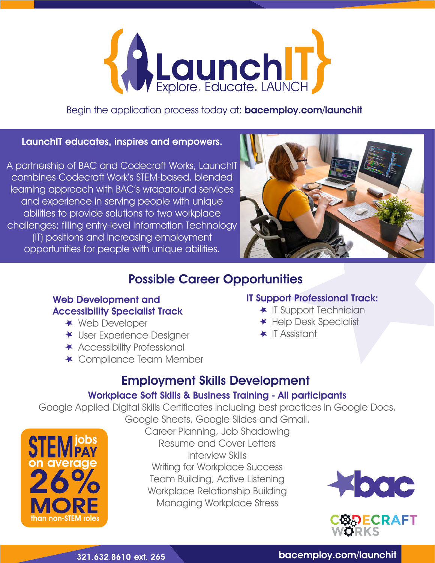

Begin the application process today at: **bacemploy.com/launchit** 

#### LaunchIT educates, inspires and empowers.

A partnership of BAC and Codecraft Works, LaunchIT combines Codecraft Work's STEM-based, blended learning approach with BAC's wraparound services and experience in serving people with unique abilities to provide solutions to two workplace challenges: filling entry-level Information Technology (IT) positions and increasing employment opportunities for people with unique abilities.



# Possible Career Opportunities

#### Web Development and Accessibility Specialist Track

- Web Developer
- **★ User Experience Designer**
- \* Accessibility Professional
- **★ Compliance Team Member**

## IT Support Professional Track:

- **\*** IT Support Technician
- **★ Help Desk Specialist**
- $\star$  IT Assistant

# Employment Skills Development

## Workplace Soft Skills & Business Training - All participants

Google Applied Digital Skills Certificates including best practices in Google Docs,



Google Sheets, Google Slides and Gmail. Career Planning, Job Shadowing Resume and Cover Letters Interview Skills Writing for Workplace Success Team Building, Active Listening Workplace Relationship Building Managing Workplace Stress





### bacemploy.com/launchit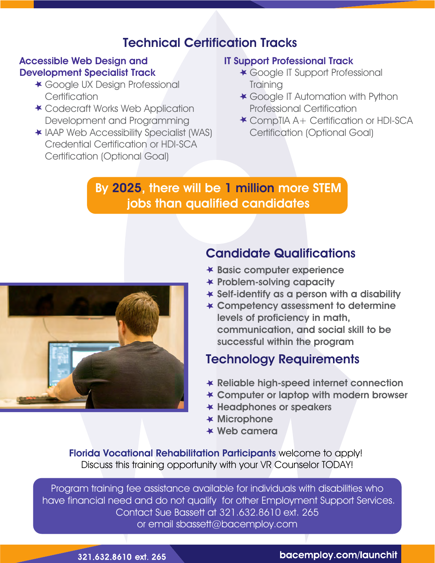# Technical Certification Tracks

## Accessible Web Design and Development Specialist Track

- Google UX Design Professional **Certification**
- Codecraft Works Web Application Development and Programming
- IAAP Web Accessibility Specialist (WAS) Credential Certification or HDI-SCA Certification (Optional Goal)

## IT Support Professional Track

- **★ Google IT Support Professional Training**
- **★ Google IT Automation with Python** Professional Certification
- CompTIA A+ Certification or HDI-SCA Certification (Optional Goal)

# By 2025, there will be 1 million more STEM jobs than qualified candidates



# Candidate Qualifications

- Basic computer experience
- $\star$  Problem-solving capacity
- $\star$  Self-identify as a person with a disability
- Competency assessment to determine levels of proficiency in math, communication, and social skill to be successful within the program

# Technology Requirements

- Reliable high-speed internet connection
- Computer or laptop with modern browser
- $\star$  Headphones or speakers
- $\star$  Microphone
- Web camera

Florida Vocational Rehabilitation Participants welcome to apply! Discuss this training opportunity with your VR Counselor TODAY!

Program training fee assistance available for individuals with disabilities who have financial need and do not qualify for other Employment Support Services. Contact Sue Bassett at 321.632.8610 ext. 265 or email sbassett@bacemploy.com

321.632.8610 ext. 265

## bacemploy.com/launchit